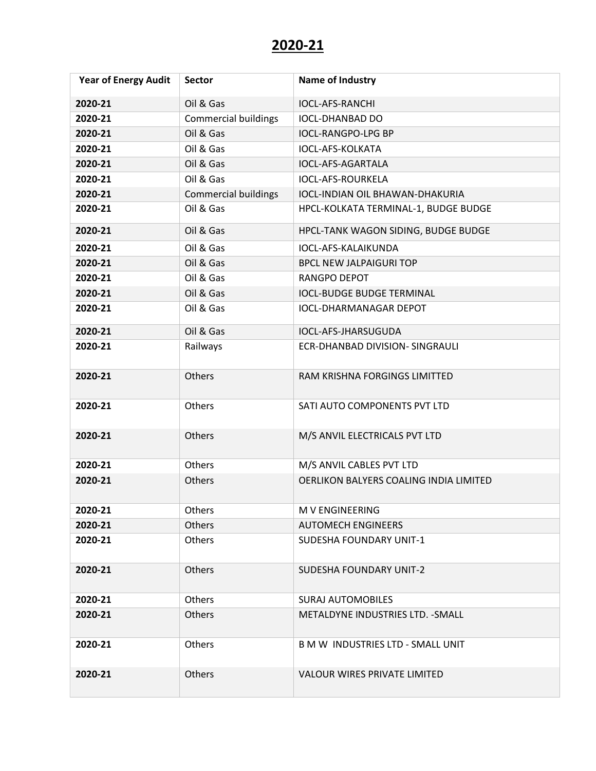| <b>Year of Energy Audit</b> | <b>Sector</b>               | <b>Name of Industry</b>                |
|-----------------------------|-----------------------------|----------------------------------------|
| 2020-21                     | Oil & Gas                   | <b>IOCL-AFS-RANCHI</b>                 |
| 2020-21                     | <b>Commercial buildings</b> | <b>IOCL-DHANBAD DO</b>                 |
| 2020-21                     | Oil & Gas                   | <b>IOCL-RANGPO-LPG BP</b>              |
| 2020-21                     | Oil & Gas                   | <b>IOCL-AFS-KOLKATA</b>                |
| 2020-21                     | Oil & Gas                   | IOCL-AFS-AGARTALA                      |
| 2020-21                     | Oil & Gas                   | <b>IOCL-AFS-ROURKELA</b>               |
| 2020-21                     | <b>Commercial buildings</b> | <b>IOCL-INDIAN OIL BHAWAN-DHAKURIA</b> |
| 2020-21                     | Oil & Gas                   | HPCL-KOLKATA TERMINAL-1, BUDGE BUDGE   |
| 2020-21                     | Oil & Gas                   | HPCL-TANK WAGON SIDING, BUDGE BUDGE    |
| 2020-21                     | Oil & Gas                   | IOCL-AFS-KALAIKUNDA                    |
| 2020-21                     | Oil & Gas                   | <b>BPCL NEW JALPAIGURI TOP</b>         |
| 2020-21                     | Oil & Gas                   | <b>RANGPO DEPOT</b>                    |
| 2020-21                     | Oil & Gas                   | <b>IOCL-BUDGE BUDGE TERMINAL</b>       |
| 2020-21                     | Oil & Gas                   | <b>IOCL-DHARMANAGAR DEPOT</b>          |
| 2020-21                     | Oil & Gas                   | IOCL-AFS-JHARSUGUDA                    |
| 2020-21                     | Railways                    | ECR-DHANBAD DIVISION- SINGRAULI        |
| 2020-21                     | Others                      | RAM KRISHNA FORGINGS LIMITTED          |
| 2020-21                     | Others                      | SATI AUTO COMPONENTS PVT LTD           |
| 2020-21                     | Others                      | M/S ANVIL ELECTRICALS PVT LTD          |
| 2020-21                     | Others                      | M/S ANVIL CABLES PVT LTD               |
| 2020-21                     | Others                      | OERLIKON BALYERS COALING INDIA LIMITED |
| 2020-21                     | Others                      | M V ENGINEERING                        |
| 2020-21                     | <b>Others</b>               | <b>AUTOMECH ENGINEERS</b>              |
| 2020-21                     | <b>Others</b>               | SUDESHA FOUNDARY UNIT-1                |
| 2020-21                     | Others                      | SUDESHA FOUNDARY UNIT-2                |
| 2020-21                     | <b>Others</b>               | <b>SURAJ AUTOMOBILES</b>               |
| 2020-21                     | <b>Others</b>               | METALDYNE INDUSTRIES LTD. - SMALL      |
| 2020-21                     | Others                      | B M W INDUSTRIES LTD - SMALL UNIT      |
| 2020-21                     | <b>Others</b>               | VALOUR WIRES PRIVATE LIMITED           |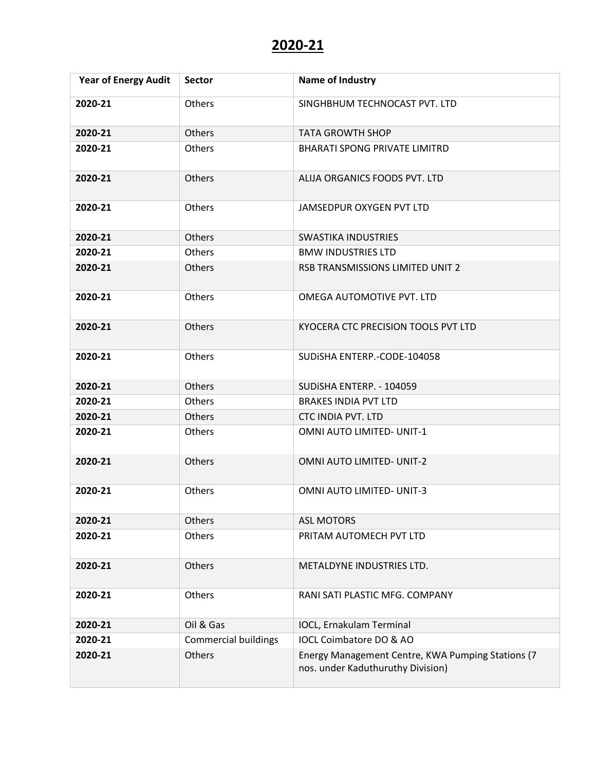| <b>Year of Energy Audit</b> | <b>Sector</b>               | <b>Name of Industry</b>                                                                |
|-----------------------------|-----------------------------|----------------------------------------------------------------------------------------|
| 2020-21                     | Others                      | SINGHBHUM TECHNOCAST PVT. LTD                                                          |
| 2020-21                     | <b>Others</b>               | <b>TATA GROWTH SHOP</b>                                                                |
| 2020-21                     | Others                      | <b>BHARATI SPONG PRIVATE LIMITRD</b>                                                   |
| 2020-21                     | Others                      | ALIJA ORGANICS FOODS PVT. LTD                                                          |
| 2020-21                     | Others                      | JAMSEDPUR OXYGEN PVT LTD                                                               |
| 2020-21                     | Others                      | <b>SWASTIKA INDUSTRIES</b>                                                             |
| 2020-21                     | Others                      | <b>BMW INDUSTRIES LTD</b>                                                              |
| 2020-21                     | Others                      | RSB TRANSMISSIONS LIMITED UNIT 2                                                       |
| 2020-21                     | Others                      | OMEGA AUTOMOTIVE PVT. LTD                                                              |
| 2020-21                     | Others                      | KYOCERA CTC PRECISION TOOLS PVT LTD                                                    |
| 2020-21                     | Others                      | SUDISHA ENTERP.-CODE-104058                                                            |
| 2020-21                     | Others                      | SUDISHA ENTERP. - 104059                                                               |
| 2020-21                     | Others                      | <b>BRAKES INDIA PVT LTD</b>                                                            |
| 2020-21                     | Others                      | <b>CTC INDIA PVT. LTD</b>                                                              |
| 2020-21                     | Others                      | OMNI AUTO LIMITED- UNIT-1                                                              |
| 2020-21                     | Others                      | <b>OMNI AUTO LIMITED- UNIT-2</b>                                                       |
| 2020-21                     | Others                      | <b>OMNI AUTO LIMITED- UNIT-3</b>                                                       |
| 2020-21                     | Others                      | <b>ASL MOTORS</b>                                                                      |
| 2020-21                     | Others                      | PRITAM AUTOMECH PVT LTD                                                                |
| 2020-21                     | Others                      | METALDYNE INDUSTRIES LTD.                                                              |
| 2020-21                     | Others                      | RANI SATI PLASTIC MFG. COMPANY                                                         |
| 2020-21                     | Oil & Gas                   | IOCL, Ernakulam Terminal                                                               |
| 2020-21                     | <b>Commercial buildings</b> | IOCL Coimbatore DO & AO                                                                |
| 2020-21                     | Others                      | Energy Management Centre, KWA Pumping Stations (7<br>nos. under Kaduthuruthy Division) |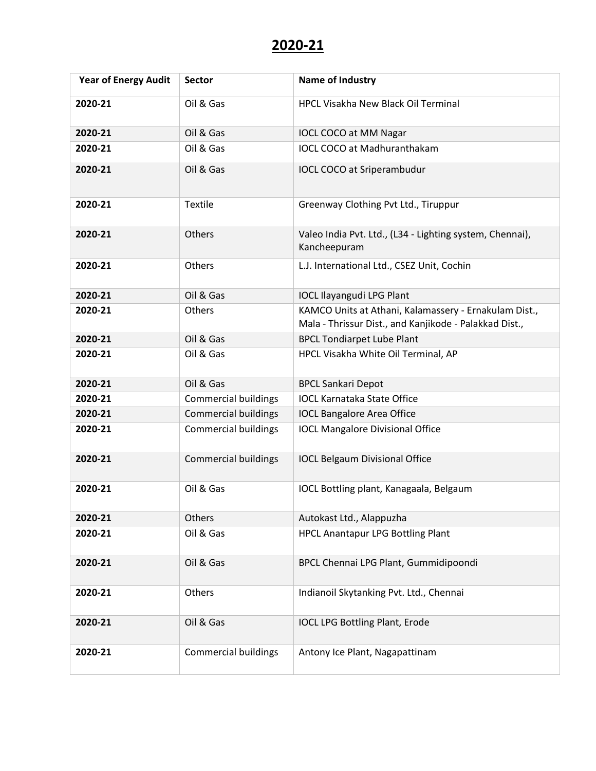| <b>Year of Energy Audit</b> | <b>Sector</b>               | <b>Name of Industry</b>                                                                                         |
|-----------------------------|-----------------------------|-----------------------------------------------------------------------------------------------------------------|
| 2020-21                     | Oil & Gas                   | <b>HPCL Visakha New Black Oil Terminal</b>                                                                      |
| 2020-21                     | Oil & Gas                   | <b>IOCL COCO at MM Nagar</b>                                                                                    |
| 2020-21                     | Oil & Gas                   | <b>IOCL COCO at Madhuranthakam</b>                                                                              |
| 2020-21                     | Oil & Gas                   | IOCL COCO at Sriperambudur                                                                                      |
| 2020-21                     | <b>Textile</b>              | Greenway Clothing Pvt Ltd., Tiruppur                                                                            |
| 2020-21                     | Others                      | Valeo India Pvt. Ltd., (L34 - Lighting system, Chennai),<br>Kancheepuram                                        |
| 2020-21                     | Others                      | L.J. International Ltd., CSEZ Unit, Cochin                                                                      |
| 2020-21                     | Oil & Gas                   | <b>IOCL Ilayangudi LPG Plant</b>                                                                                |
| 2020-21                     | Others                      | KAMCO Units at Athani, Kalamassery - Ernakulam Dist.,<br>Mala - Thrissur Dist., and Kanjikode - Palakkad Dist., |
| 2020-21                     | Oil & Gas                   | <b>BPCL Tondiarpet Lube Plant</b>                                                                               |
| 2020-21                     | Oil & Gas                   | HPCL Visakha White Oil Terminal, AP                                                                             |
| 2020-21                     | Oil & Gas                   | <b>BPCL Sankari Depot</b>                                                                                       |
| 2020-21                     | <b>Commercial buildings</b> | <b>IOCL Karnataka State Office</b>                                                                              |
| 2020-21                     | <b>Commercial buildings</b> | <b>IOCL Bangalore Area Office</b>                                                                               |
| 2020-21                     | <b>Commercial buildings</b> | <b>IOCL Mangalore Divisional Office</b>                                                                         |
| 2020-21                     | <b>Commercial buildings</b> | <b>IOCL Belgaum Divisional Office</b>                                                                           |
| 2020-21                     | Oil & Gas                   | IOCL Bottling plant, Kanagaala, Belgaum                                                                         |
| 2020-21                     | Others                      | Autokast Ltd., Alappuzha                                                                                        |
| 2020-21                     | Oil & Gas                   | <b>HPCL Anantapur LPG Bottling Plant</b>                                                                        |
| 2020-21                     | Oil & Gas                   | BPCL Chennai LPG Plant, Gummidipoondi                                                                           |
| 2020-21                     | Others                      | Indianoil Skytanking Pvt. Ltd., Chennai                                                                         |
| 2020-21                     | Oil & Gas                   | <b>IOCL LPG Bottling Plant, Erode</b>                                                                           |
| 2020-21                     | <b>Commercial buildings</b> | Antony Ice Plant, Nagapattinam                                                                                  |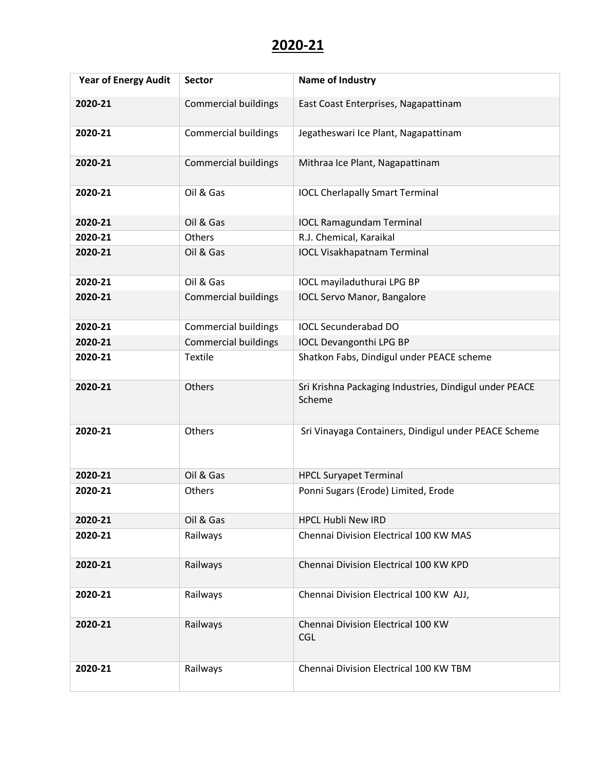| <b>Year of Energy Audit</b> | <b>Sector</b>               | <b>Name of Industry</b>                                          |
|-----------------------------|-----------------------------|------------------------------------------------------------------|
| 2020-21                     | <b>Commercial buildings</b> | East Coast Enterprises, Nagapattinam                             |
| 2020-21                     | <b>Commercial buildings</b> | Jegatheswari Ice Plant, Nagapattinam                             |
| 2020-21                     | <b>Commercial buildings</b> | Mithraa Ice Plant, Nagapattinam                                  |
| 2020-21                     | Oil & Gas                   | <b>IOCL Cherlapally Smart Terminal</b>                           |
| 2020-21                     | Oil & Gas                   | <b>IOCL Ramagundam Terminal</b>                                  |
| 2020-21                     | Others                      | R.J. Chemical, Karaikal                                          |
| 2020-21                     | Oil & Gas                   | <b>IOCL Visakhapatnam Terminal</b>                               |
| 2020-21                     | Oil & Gas                   | IOCL mayiladuthurai LPG BP                                       |
| 2020-21                     | <b>Commercial buildings</b> | <b>IOCL Servo Manor, Bangalore</b>                               |
| 2020-21                     | <b>Commercial buildings</b> | <b>IOCL Secunderabad DO</b>                                      |
| 2020-21                     | <b>Commercial buildings</b> | <b>IOCL Devangonthi LPG BP</b>                                   |
| 2020-21                     | <b>Textile</b>              | Shatkon Fabs, Dindigul under PEACE scheme                        |
| 2020-21                     | Others                      | Sri Krishna Packaging Industries, Dindigul under PEACE<br>Scheme |
| 2020-21                     | Others                      | Sri Vinayaga Containers, Dindigul under PEACE Scheme             |
| 2020-21                     | Oil & Gas                   | <b>HPCL Suryapet Terminal</b>                                    |
| 2020-21                     | Others                      | Ponni Sugars (Erode) Limited, Erode                              |
| 2020-21                     | Oil & Gas                   | <b>HPCL Hubli New IRD</b>                                        |
| 2020-21                     | Railways                    | Chennai Division Electrical 100 KW MAS                           |
| 2020-21                     | Railways                    | Chennai Division Electrical 100 KW KPD                           |
| 2020-21                     | Railways                    | Chennai Division Electrical 100 KW AJJ,                          |
| 2020-21                     | Railways                    | Chennai Division Electrical 100 KW<br><b>CGL</b>                 |
| 2020-21                     | Railways                    | Chennai Division Electrical 100 KW TBM                           |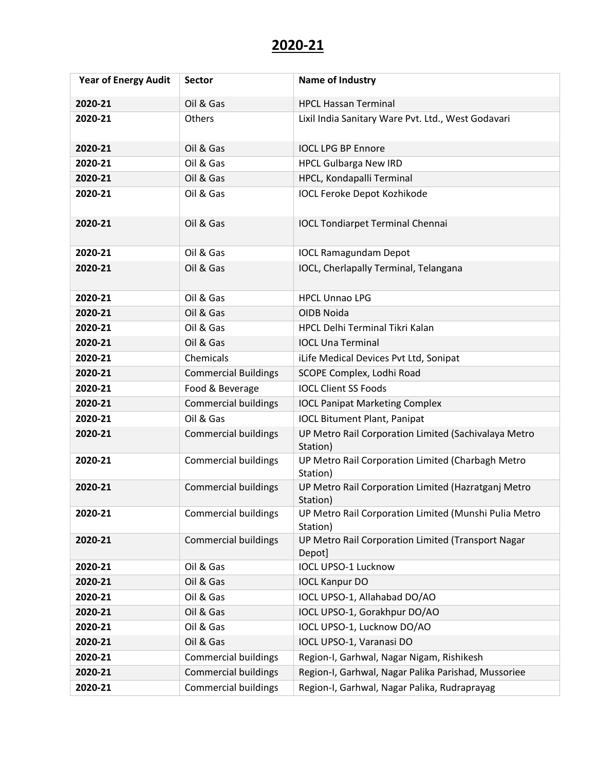| <b>Year of Energy Audit</b> | <b>Sector</b>               | Name of Industry                                                  |
|-----------------------------|-----------------------------|-------------------------------------------------------------------|
| 2020-21                     | Oil & Gas                   | <b>HPCL Hassan Terminal</b>                                       |
| 2020-21                     | Others                      | Lixil India Sanitary Ware Pvt. Ltd., West Godavari                |
| 2020-21                     | Oil & Gas                   | <b>IOCL LPG BP Ennore</b>                                         |
| 2020-21                     | Oil & Gas                   | <b>HPCL Gulbarga New IRD</b>                                      |
| 2020-21                     | Oil & Gas                   | HPCL, Kondapalli Terminal                                         |
| 2020-21                     | Oil & Gas                   | <b>IOCL Feroke Depot Kozhikode</b>                                |
| 2020-21                     | Oil & Gas                   | <b>IOCL Tondiarpet Terminal Chennai</b>                           |
| 2020-21                     | Oil & Gas                   | <b>IOCL Ramagundam Depot</b>                                      |
| 2020-21                     | Oil & Gas                   | IOCL, Cherlapally Terminal, Telangana                             |
| 2020-21                     | Oil & Gas                   | <b>HPCL Unnao LPG</b>                                             |
| 2020-21                     | Oil & Gas                   | OIDB Noida                                                        |
| 2020-21                     | Oil & Gas                   | HPCL Delhi Terminal Tikri Kalan                                   |
| 2020-21                     | Oil & Gas                   | <b>IOCL Una Terminal</b>                                          |
| 2020-21                     | Chemicals                   | iLife Medical Devices Pvt Ltd, Sonipat                            |
| 2020-21                     | <b>Commercial Buildings</b> | SCOPE Complex, Lodhi Road                                         |
| 2020-21                     | Food & Beverage             | <b>IOCL Client SS Foods</b>                                       |
| 2020-21                     | <b>Commercial buildings</b> | <b>IOCL Panipat Marketing Complex</b>                             |
| 2020-21                     | Oil & Gas                   | <b>IOCL Bitument Plant, Panipat</b>                               |
| 2020-21                     | <b>Commercial buildings</b> | UP Metro Rail Corporation Limited (Sachivalaya Metro<br>Station)  |
| 2020-21                     | <b>Commercial buildings</b> | UP Metro Rail Corporation Limited (Charbagh Metro<br>Station)     |
| 2020-21                     | <b>Commercial buildings</b> | UP Metro Rail Corporation Limited (Hazratganj Metro<br>Station)   |
| 2020-21                     | <b>Commercial buildings</b> | UP Metro Rail Corporation Limited (Munshi Pulia Metro<br>Station) |
| 2020-21                     | <b>Commercial buildings</b> | UP Metro Rail Corporation Limited (Transport Nagar<br>Depot]      |
| 2020-21                     | Oil & Gas                   | <b>IOCL UPSO-1 Lucknow</b>                                        |
| 2020-21                     | Oil & Gas                   | <b>IOCL Kanpur DO</b>                                             |
| 2020-21                     | Oil & Gas                   | IOCL UPSO-1, Allahabad DO/AO                                      |
| 2020-21                     | Oil & Gas                   | IOCL UPSO-1, Gorakhpur DO/AO                                      |
| 2020-21                     | Oil & Gas                   | IOCL UPSO-1, Lucknow DO/AO                                        |
| 2020-21                     | Oil & Gas                   | IOCL UPSO-1, Varanasi DO                                          |
| 2020-21                     | <b>Commercial buildings</b> | Region-I, Garhwal, Nagar Nigam, Rishikesh                         |
| 2020-21                     | <b>Commercial buildings</b> | Region-I, Garhwal, Nagar Palika Parishad, Mussoriee               |
| 2020-21                     | <b>Commercial buildings</b> | Region-I, Garhwal, Nagar Palika, Rudraprayag                      |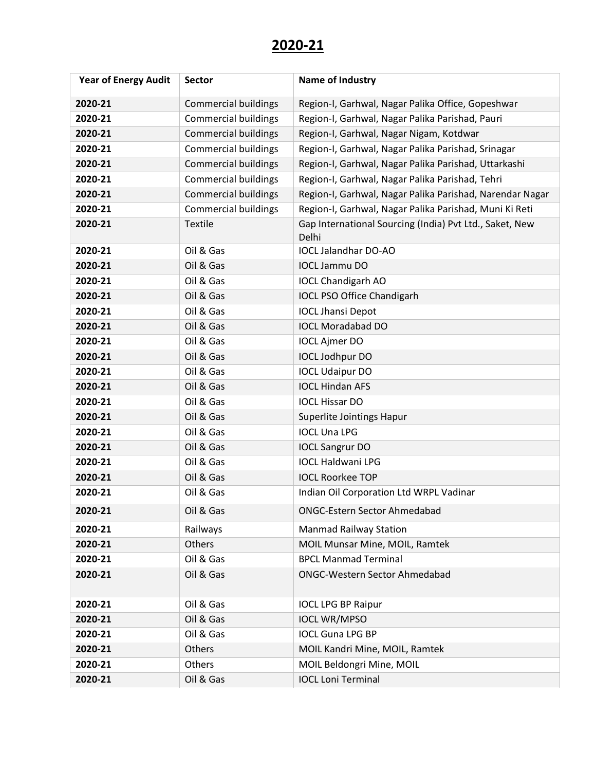| <b>Year of Energy Audit</b> | <b>Sector</b>               | <b>Name of Industry</b>                                          |
|-----------------------------|-----------------------------|------------------------------------------------------------------|
| 2020-21                     | <b>Commercial buildings</b> | Region-I, Garhwal, Nagar Palika Office, Gopeshwar                |
| 2020-21                     | <b>Commercial buildings</b> | Region-I, Garhwal, Nagar Palika Parishad, Pauri                  |
| 2020-21                     | <b>Commercial buildings</b> | Region-I, Garhwal, Nagar Nigam, Kotdwar                          |
| 2020-21                     | <b>Commercial buildings</b> | Region-I, Garhwal, Nagar Palika Parishad, Srinagar               |
| 2020-21                     | <b>Commercial buildings</b> | Region-I, Garhwal, Nagar Palika Parishad, Uttarkashi             |
| 2020-21                     | <b>Commercial buildings</b> | Region-I, Garhwal, Nagar Palika Parishad, Tehri                  |
| 2020-21                     | <b>Commercial buildings</b> | Region-I, Garhwal, Nagar Palika Parishad, Narendar Nagar         |
| 2020-21                     | <b>Commercial buildings</b> | Region-I, Garhwal, Nagar Palika Parishad, Muni Ki Reti           |
| 2020-21                     | Textile                     | Gap International Sourcing (India) Pvt Ltd., Saket, New<br>Delhi |
| 2020-21                     | Oil & Gas                   | <b>IOCL Jalandhar DO-AO</b>                                      |
| 2020-21                     | Oil & Gas                   | <b>IOCL Jammu DO</b>                                             |
| 2020-21                     | Oil & Gas                   | <b>IOCL Chandigarh AO</b>                                        |
| 2020-21                     | Oil & Gas                   | <b>IOCL PSO Office Chandigarh</b>                                |
| 2020-21                     | Oil & Gas                   | <b>IOCL Jhansi Depot</b>                                         |
| 2020-21                     | Oil & Gas                   | <b>IOCL Moradabad DO</b>                                         |
| 2020-21                     | Oil & Gas                   | <b>IOCL Ajmer DO</b>                                             |
| 2020-21                     | Oil & Gas                   | <b>IOCL Jodhpur DO</b>                                           |
| 2020-21                     | Oil & Gas                   | <b>IOCL Udaipur DO</b>                                           |
| 2020-21                     | Oil & Gas                   | <b>IOCL Hindan AFS</b>                                           |
| 2020-21                     | Oil & Gas                   | <b>IOCL Hissar DO</b>                                            |
| 2020-21                     | Oil & Gas                   | Superlite Jointings Hapur                                        |
| 2020-21                     | Oil & Gas                   | <b>IOCL Una LPG</b>                                              |
| 2020-21                     | Oil & Gas                   | <b>IOCL Sangrur DO</b>                                           |
| 2020-21                     | Oil & Gas                   | <b>IOCL Haldwani LPG</b>                                         |
| 2020-21                     | Oil & Gas                   | <b>IOCL Roorkee TOP</b>                                          |
| 2020-21                     | Oil & Gas                   | Indian Oil Corporation Ltd WRPL Vadinar                          |
| 2020-21                     | Oil & Gas                   | <b>ONGC-Estern Sector Ahmedabad</b>                              |
| 2020-21                     | Railways                    | <b>Manmad Railway Station</b>                                    |
| 2020-21                     | Others                      | MOIL Munsar Mine, MOIL, Ramtek                                   |
| 2020-21                     | Oil & Gas                   | <b>BPCL Manmad Terminal</b>                                      |
| 2020-21                     | Oil & Gas                   | <b>ONGC-Western Sector Ahmedabad</b>                             |
| 2020-21                     | Oil & Gas                   | <b>IOCL LPG BP Raipur</b>                                        |
| 2020-21                     | Oil & Gas                   | <b>IOCL WR/MPSO</b>                                              |
| 2020-21                     | Oil & Gas                   | <b>IOCL Guna LPG BP</b>                                          |
| 2020-21                     | Others                      | MOIL Kandri Mine, MOIL, Ramtek                                   |
| 2020-21                     | Others                      | MOIL Beldongri Mine, MOIL                                        |
| 2020-21                     | Oil & Gas                   | <b>IOCL Loni Terminal</b>                                        |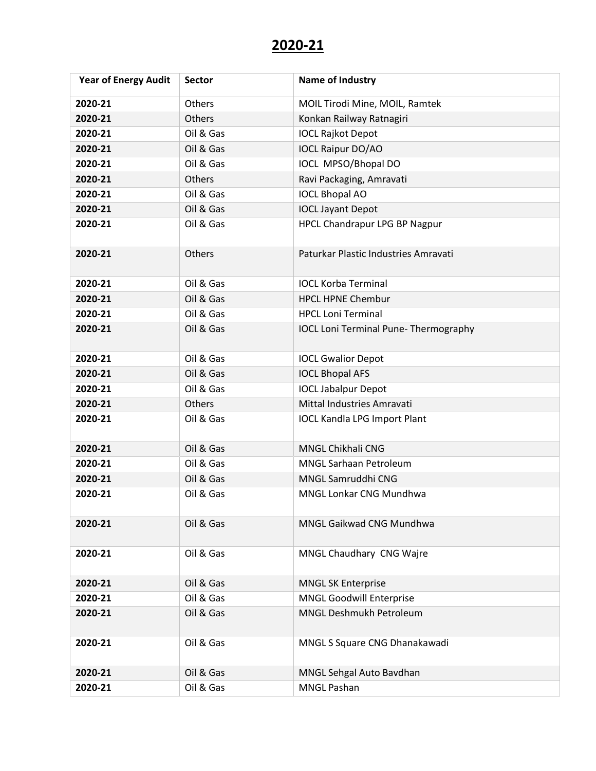| <b>Year of Energy Audit</b> | <b>Sector</b> | <b>Name of Industry</b>                      |
|-----------------------------|---------------|----------------------------------------------|
| 2020-21                     | Others        | MOIL Tirodi Mine, MOIL, Ramtek               |
| 2020-21                     | Others        | Konkan Railway Ratnagiri                     |
| 2020-21                     | Oil & Gas     | <b>IOCL Rajkot Depot</b>                     |
| 2020-21                     | Oil & Gas     | <b>IOCL Raipur DO/AO</b>                     |
| 2020-21                     | Oil & Gas     | IOCL MPSO/Bhopal DO                          |
| 2020-21                     | Others        | Ravi Packaging, Amravati                     |
| 2020-21                     | Oil & Gas     | <b>IOCL Bhopal AO</b>                        |
| 2020-21                     | Oil & Gas     | <b>IOCL Jayant Depot</b>                     |
| 2020-21                     | Oil & Gas     | HPCL Chandrapur LPG BP Nagpur                |
| 2020-21                     | Others        | Paturkar Plastic Industries Amravati         |
| 2020-21                     | Oil & Gas     | <b>IOCL Korba Terminal</b>                   |
| 2020-21                     | Oil & Gas     | <b>HPCL HPNE Chembur</b>                     |
| 2020-21                     | Oil & Gas     | <b>HPCL Loni Terminal</b>                    |
| 2020-21                     | Oil & Gas     | <b>IOCL Loni Terminal Pune- Thermography</b> |
| 2020-21                     | Oil & Gas     | <b>IOCL Gwalior Depot</b>                    |
| 2020-21                     | Oil & Gas     | <b>IOCL Bhopal AFS</b>                       |
| 2020-21                     | Oil & Gas     | <b>IOCL Jabalpur Depot</b>                   |
| 2020-21                     | Others        | Mittal Industries Amravati                   |
| 2020-21                     | Oil & Gas     | <b>IOCL Kandla LPG Import Plant</b>          |
| 2020-21                     | Oil & Gas     | MNGL Chikhali CNG                            |
| 2020-21                     | Oil & Gas     | <b>MNGL Sarhaan Petroleum</b>                |
| 2020-21                     | Oil & Gas     | MNGL Samruddhi CNG                           |
| 2020-21                     | Oil & Gas     | MNGL Lonkar CNG Mundhwa                      |
| 2020-21                     | Oil & Gas     | MNGL Gaikwad CNG Mundhwa                     |
| 2020-21                     | Oil & Gas     | MNGL Chaudhary CNG Wajre                     |
| 2020-21                     | Oil & Gas     | <b>MNGL SK Enterprise</b>                    |
| 2020-21                     | Oil & Gas     | <b>MNGL Goodwill Enterprise</b>              |
| 2020-21                     | Oil & Gas     | MNGL Deshmukh Petroleum                      |
| 2020-21                     | Oil & Gas     | MNGL S Square CNG Dhanakawadi                |
| 2020-21                     | Oil & Gas     | MNGL Sehgal Auto Bavdhan                     |
| 2020-21                     | Oil & Gas     | <b>MNGL Pashan</b>                           |